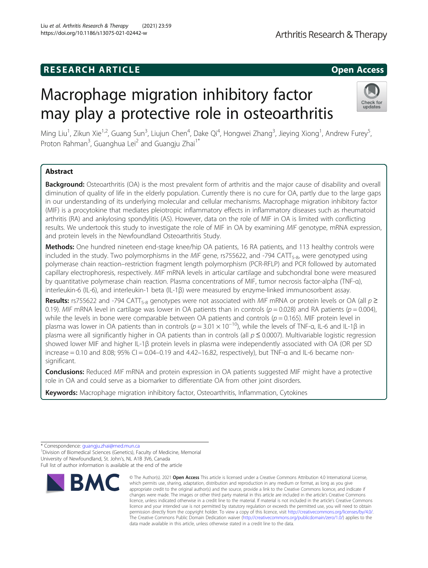# **RESEARCH ARTICLE Example 2014 12:30 The SEAR CH ACCESS**

# Macrophage migration inhibitory factor may play a protective role in osteoarthritis

Ming Liu<sup>1</sup>, Zikun Xie<sup>1,2</sup>, Guang Sun<sup>3</sup>, Liujun Chen<sup>4</sup>, Dake Qi<sup>4</sup>, Hongwei Zhang<sup>3</sup>, Jieying Xiong<sup>1</sup>, Andrew Furey<sup>5</sup> , Proton Rahman<sup>3</sup>, Guanghua Lei<sup>2</sup> and Guangju Zhai<sup>1\*</sup>

## Abstract

Background: Osteoarthritis (OA) is the most prevalent form of arthritis and the major cause of disability and overall diminution of quality of life in the elderly population. Currently there is no cure for OA, partly due to the large gaps in our understanding of its underlying molecular and cellular mechanisms. Macrophage migration inhibitory factor (MIF) is a procytokine that mediates pleiotropic inflammatory effects in inflammatory diseases such as rheumatoid arthritis (RA) and ankylosing spondylitis (AS). However, data on the role of MIF in OA is limited with conflicting results. We undertook this study to investigate the role of MIF in OA by examining MIF genotype, mRNA expression, and protein levels in the Newfoundland Osteoarthritis Study.

Methods: One hundred nineteen end-stage knee/hip OA patients, 16 RA patients, and 113 healthy controls were included in the study. Two polymorphisms in the MIF gene, rs755622, and -794 CATT<sub>5-8</sub>, were genotyped using polymerase chain reaction–restriction fragment length polymorphism (PCR-RFLP) and PCR followed by automated capillary electrophoresis, respectively. MIF mRNA levels in articular cartilage and subchondral bone were measured by quantitative polymerase chain reaction. Plasma concentrations of MIF, tumor necrosis factor-alpha (TNF-α), interleukin-6 (IL-6), and interleukin-1 beta (IL-1β) were measured by enzyme-linked immunosorbent assay.

Results: rs755622 and -794 CATT<sub>5-8</sub> genotypes were not associated with MIF mRNA or protein levels or OA (all  $p \ge$ 0.19). MIF mRNA level in cartilage was lower in OA patients than in controls ( $p = 0.028$ ) and RA patients ( $p = 0.004$ ), while the levels in bone were comparable between OA patients and controls ( $p = 0.165$ ). MIF protein level in plasma was lower in OA patients than in controls ( $p = 3.01 \times 10^{-10}$ ), while the levels of TNF-a, IL-6 and IL-1β in plasma were all significantly higher in OA patients than in controls (all  $p \le 0.0007$ ). Multivariable logistic regression showed lower MIF and higher IL-1β protein levels in plasma were independently associated with OA (OR per SD increase = 0.10 and 8.08; 95% CI = 0.04–0.19 and 4.42–16.82, respectively), but TNF- $\alpha$  and IL-6 became nonsignificant.

Conclusions: Reduced MIF mRNA and protein expression in OA patients suggested MIF might have a protective role in OA and could serve as a biomarker to differentiate OA from other joint disorders.

Keywords: Macrophage migration inhibitory factor, Osteoarthritis, Inflammation, Cytokines

<sup>1</sup> Division of Biomedical Sciences (Genetics), Faculty of Medicine, Memorial University of Newfoundland, St. John's, NL A1B 3V6, Canada Full list of author information is available at the end of the article





<sup>\*</sup> Correspondence: [guangju.zhai@med.mun.ca](mailto:guangju.zhai@med.mun.ca) <sup>1</sup>

<sup>©</sup> The Author(s), 2021 **Open Access** This article is licensed under a Creative Commons Attribution 4.0 International License, which permits use, sharing, adaptation, distribution and reproduction in any medium or format, as long as you give appropriate credit to the original author(s) and the source, provide a link to the Creative Commons licence, and indicate if changes were made. The images or other third party material in this article are included in the article's Creative Commons licence, unless indicated otherwise in a credit line to the material. If material is not included in the article's Creative Commons licence and your intended use is not permitted by statutory regulation or exceeds the permitted use, you will need to obtain permission directly from the copyright holder. To view a copy of this licence, visit [http://creativecommons.org/licenses/by/4.0/.](http://creativecommons.org/licenses/by/4.0/) The Creative Commons Public Domain Dedication waiver [\(http://creativecommons.org/publicdomain/zero/1.0/](http://creativecommons.org/publicdomain/zero/1.0/)) applies to the data made available in this article, unless otherwise stated in a credit line to the data.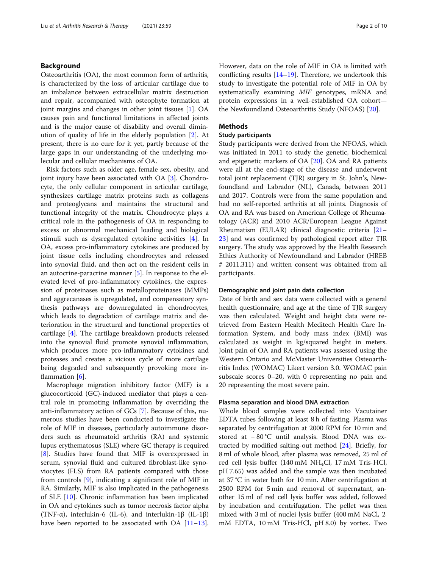## Background

Osteoarthritis (OA), the most common form of arthritis, is characterized by the loss of articular cartilage due to an imbalance between extracellular matrix destruction and repair, accompanied with osteophyte formation at joint margins and changes in other joint tissues [\[1](#page-8-0)]. OA causes pain and functional limitations in affected joints and is the major cause of disability and overall diminution of quality of life in the elderly population [\[2](#page-8-0)]. At present, there is no cure for it yet, partly because of the large gaps in our understanding of the underlying molecular and cellular mechanisms of OA.

Risk factors such as older age, female sex, obesity, and joint injury have been associated with OA [[3\]](#page-8-0). Chondrocyte, the only cellular component in articular cartilage, synthesizes cartilage matrix proteins such as collagens and proteoglycans and maintains the structural and functional integrity of the matrix. Chondrocyte plays a critical role in the pathogenesis of OA in responding to excess or abnormal mechanical loading and biological stimuli such as dysregulated cytokine activities [[4](#page-8-0)]. In OA, excess pro-inflammatory cytokines are produced by joint tissue cells including chondrocytes and released into synovial fluid, and then act on the resident cells in an autocrine-paracrine manner [[5\]](#page-8-0). In response to the elevated level of pro-inflammatory cytokines, the expression of proteinases such as metalloproteinases (MMPs) and aggrecanases is upregulated, and compensatory synthesis pathways are downregulated in chondrocytes, which leads to degradation of cartilage matrix and deterioration in the structural and functional properties of cartilage [[4\]](#page-8-0). The cartilage breakdown products released into the synovial fluid promote synovial inflammation, which produces more pro-inflammatory cytokines and proteases and creates a vicious cycle of more cartilage being degraded and subsequently provoking more inflammation  $[6]$  $[6]$ .

Macrophage migration inhibitory factor (MIF) is a glucocorticoid (GC)-induced mediator that plays a central role in promoting inflammation by overriding the anti-inflammatory action of GCs [[7](#page-8-0)]. Because of this, numerous studies have been conducted to investigate the role of MIF in diseases, particularly autoimmune disorders such as rheumatoid arthritis (RA) and systemic lupus erythematosus (SLE) where GC therapy is required [[8\]](#page-8-0). Studies have found that MIF is overexpressed in serum, synovial fluid and cultured fibroblast-like synoviocytes (FLS) from RA patients compared with those from controls [[9\]](#page-8-0), indicating a significant role of MIF in RA. Similarly, MIF is also implicated in the pathogenesis of SLE [[10\]](#page-8-0). Chronic inflammation has been implicated in OA and cytokines such as tumor necrosis factor alpha (TNF- $\alpha$ ), interlukin-6 (IL-6), and interlukin-1 $\beta$  (IL-1 $\beta$ ) have been reported to be associated with  $OA [11-13]$  $OA [11-13]$  $OA [11-13]$  $OA [11-13]$  $OA [11-13]$ . However, data on the role of MIF in OA is limited with conflicting results  $[14–19]$  $[14–19]$  $[14–19]$ . Therefore, we undertook this study to investigate the potential role of MIF in OA by systematically examining MIF genotypes, mRNA and protein expressions in a well-established OA cohort the Newfoundland Osteoarthritis Study (NFOAS) [[20\]](#page-8-0).

## Methods

## Study participants

Study participants were derived from the NFOAS, which was initiated in 2011 to study the genetic, biochemical and epigenetic markers of OA [[20\]](#page-8-0). OA and RA patients were all at the end-stage of the disease and underwent total joint replacement (TJR) surgery in St. John's, Newfoundland and Labrador (NL), Canada, between 2011 and 2017. Controls were from the same population and had no self-reported arthritis at all joints. Diagnosis of OA and RA was based on American College of Rheumatology (ACR) and 2010 ACR/European League Against Rheumatism (EULAR) clinical diagnostic criteria [[21](#page-8-0)– [23\]](#page-8-0) and was confirmed by pathological report after TJR surgery. The study was approved by the Health Research Ethics Authority of Newfoundland and Labrador (HREB # 2011.311) and written consent was obtained from all participants.

#### Demographic and joint pain data collection

Date of birth and sex data were collected with a general health questionnaire, and age at the time of TJR surgery was then calculated. Weight and height data were retrieved from Eastern Health Meditech Health Care Information System, and body mass index (BMI) was calculated as weight in kg/squared height in meters. Joint pain of OA and RA patients was assessed using the Western Ontario and McMaster Universities Osteoarthritis Index (WOMAC) Likert version 3.0. WOMAC pain subscale scores 0–20, with 0 representing no pain and 20 representing the most severe pain.

#### Plasma separation and blood DNA extraction

Whole blood samples were collected into Vacutainer EDTA tubes following at least 8 h of fasting. Plasma was separated by centrifugation at 2000 RPM for 10 min and stored at − 80 °C until analysis. Blood DNA was extracted by modified salting-out method [[24\]](#page-8-0). Briefly, for 8 ml of whole blood, after plasma was removed, 25 ml of red cell lysis buffer (140 mM  $NH<sub>4</sub>Cl$ , 17 mM Tris-HCl, pH 7.65) was added and the sample was then incubated at 37 °C in water bath for 10 min. After centrifugation at 2500 RPM for 5 min and removal of supernatant, another 15 ml of red cell lysis buffer was added, followed by incubation and centrifugation. The pellet was then mixed with 3 ml of nuclei lysis buffer (400 mM NaCl, 2 mM EDTA, 10 mM Tris-HCl, pH 8.0) by vortex. Two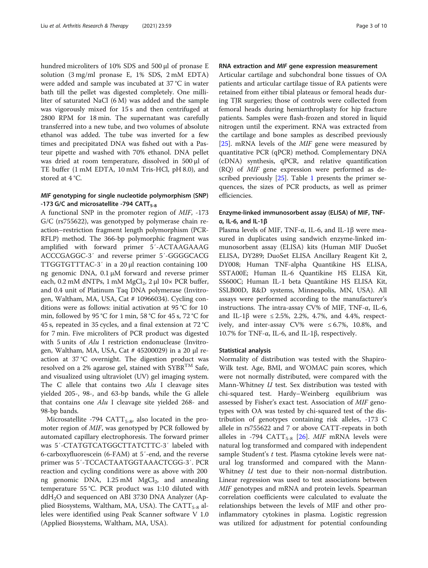hundred microliters of 10% SDS and 500 μl of pronase E solution (3 mg/ml pronase E, 1% SDS, 2 mM EDTA) were added and sample was incubated at 37 °C in water bath till the pellet was digested completely. One milliliter of saturated NaCl (6 M) was added and the sample was vigorously mixed for 15 s and then centrifuged at 2800 RPM for 18 min. The supernatant was carefully transferred into a new tube, and two volumes of absolute ethanol was added. The tube was inverted for a few times and precipitated DNA was fished out with a Pasteur pipette and washed with 70% ethanol. DNA pellet was dried at room temperature, dissolved in 500 μl of TE buffer (1 mM EDTA, 10 mM Tris-HCl, pH 8.0), and stored at 4 °C.

## MIF genotyping for single nucleotide polymorphism (SNP) -173 G/C and microsatellite -794  $CATT_{5-8}$

A functional SNP in the promoter region of MIF, -173 G/C (rs755622), was genotyped by polymerase chain reaction–restriction fragment length polymorphism (PCR-RFLP) method. The 366-bp polymorphic fragment was amplified with forward primer 5′-ACTAAGAAAG ACCCGAGGC-3′ and reverse primer 5′-GGGGCACG TTGGTGTTTAC-3′ in a 20 μl reaction containing 100 ng genomic DNA, 0.1 μM forward and reverse primer each, 0.2 mM dNTPs, 1 mM  $MgCl<sub>2</sub>$ , 2 µl 10× PCR buffer, and 0.4 unit of Platinum Taq DNA polymerase (Invitrogen, Waltham, MA, USA, Cat # 10966034). Cycling conditions were as follows: initial activation at 95 °C for 10 min, followed by 95 °C for 1 min, 58 °C for 45 s, 72 °C for 45 s, repeated in 35 cycles, and a final extension at 72 °C for 7 min. Five microliters of PCR product was digested with 5 units of Alu I restriction endonuclease (Invitrogen, Waltham, MA, USA, Cat # 45200029) in a 20 μl reaction at 37 °C overnight. The digestion product was resolved on a 2% agarose gel, stained with  $\text{SYBR}^{\text{TM}}$  Safe, and visualized using ultraviolet (UV) gel imaging system. The C allele that contains two  $Alu$  I cleavage sites yielded 205-, 98-, and 63-bp bands, while the G allele that contains one Alu I cleavage site yielded 268- and 98-bp bands.

Microsatellite -794 CATT $_{5-8}$ , also located in the promoter region of MIF, was genotyped by PCR followed by automated capillary electrophoresis. The forward primer was 5′-CTATGTCATGGCTTATCTTC-3′ labeled with 6-carboxyfluorescein (6-FAM) at 5′-end, and the reverse primer was 5′-TCCACTAATGGTAAACTCGG-3′. PCR reaction and cycling conditions were as above with 200 ng genomic DNA,  $1.25 \text{ mM } MgCl<sub>2</sub>$ , and annealing temperature 55 °C. PCR product was 1:10 diluted with  $ddH<sub>2</sub>O$  and sequenced on ABI 3730 DNA Analyzer (Applied Biosystems, Waltham, MA, USA). The  $CATT_{5-8}$  alleles were identified using Peak Scanner software V 1.0 (Applied Biosystems, Waltham, MA, USA).

### RNA extraction and MIF gene expression measurement

Articular cartilage and subchondral bone tissues of OA patients and articular cartilage tissue of RA patients were retained from either tibial plateaus or femoral heads during TJR surgeries; those of controls were collected from femoral heads during hemiarthroplasty for hip fracture patients. Samples were flash-frozen and stored in liquid nitrogen until the experiment. RNA was extracted from the cartilage and bone samples as described previously [[25\]](#page-8-0). mRNA levels of the MIF gene were measured by quantitative PCR (qPCR) method. Complementary DNA (cDNA) synthesis, qPCR, and relative quantification (RQ) of MIF gene expression were performed as described previously [\[25](#page-8-0)]. Table [1](#page-3-0) presents the primer sequences, the sizes of PCR products, as well as primer efficiencies.

## Enzyme-linked immunosorbent assay (ELISA) of MIF, TNFα, IL-6, and IL-1β

Plasma levels of MIF, TNF- $\alpha$ , IL-6, and IL-1β were measured in duplicates using sandwich enzyme-linked immunosorbent assay (ELISA) kits (Human MIF DuoSet ELISA, DY289; DuoSet ELISA Ancillary Reagent Kit 2, DY008; Human TNF-alpha Quantikine HS ELISA, SSTA00E; Human IL-6 Quantikine HS ELISA Kit, SS600C; Human IL-1 beta Quantikine HS ELISA Kit, SSLB00D, R&D systems, Minneapolis, MN, USA). All assays were performed according to the manufacturer's instructions. The intra-assay CV% of MIF, TNF-α, IL-6, and IL-1 $\beta$  were ≤ 2.5%, 2.2%, 4.7%, and 4.4%, respectively, and inter-assay CV% were  $\leq 6.7\%$ , 10.8%, and 10.7% for TNF-α, IL-6, and IL-1β, respectively.

## Statistical analysis

Normality of distribution was tested with the Shapiro-Wilk test. Age, BMI, and WOMAC pain scores, which were not normally distributed, were compared with the Mann-Whitney U test. Sex distribution was tested with chi-squared test. Hardy–Weinberg equilibrium was assessed by Fisher's exact test. Association of MIF genotypes with OA was tested by chi-squared test of the distribution of genotypes containing risk alleles, -173 C allele in rs755622 and 7 or above CATT-repeats in both alleles in -794  $CATT_{5-8}$  [[26\]](#page-8-0). MIF mRNA levels were natural log transformed and compared with independent sample Student's t test. Plasma cytokine levels were natural log transformed and compared with the Mann-Whitney *U* test due to their non-normal distribution. Linear regression was used to test associations between MIF genotypes and mRNA and protein levels. Spearman correlation coefficients were calculated to evaluate the relationships between the levels of MIF and other proinflammatory cytokines in plasma. Logistic regression was utilized for adjustment for potential confounding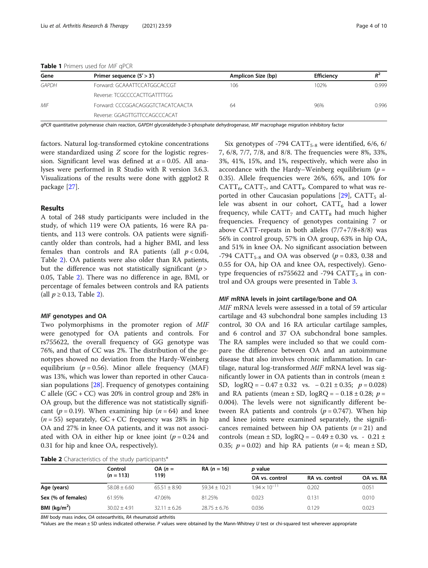<span id="page-3-0"></span>

| Gene  | Primer sequence $(5' > 3')$       | Amplicon Size (bp) | <b>Efficiency</b> |       |  |
|-------|-----------------------------------|--------------------|-------------------|-------|--|
| GAPDH | Forward: GCAAATTCCATGGCACCGT      | 106                | 102%              | 0.999 |  |
|       | Reverse: TCGCCCCACTTGATTTTGG      |                    |                   |       |  |
| MIF   | Forward: CCCGGACAGGGTCTACATCAACTA | 64                 | 96%               | 0.996 |  |
|       | Reverse: GGAGTTGTTCCAGCCCACAT     |                    |                   |       |  |

qPCR quantitative polymerase chain reaction, GAPDH glyceraldehyde-3-phosphate dehydrogenase, MIF macrophage migration inhibitory factor

factors. Natural log-transformed cytokine concentrations were standardized using Z score for the logistic regression. Significant level was defined at  $\alpha = 0.05$ . All analyses were performed in R Studio with R version 3.6.3. Visualizations of the results were done with ggplot2 R package [\[27](#page-8-0)].

## Results

A total of 248 study participants were included in the study, of which 119 were OA patients, 16 were RA patients, and 113 were controls. OA patients were significantly older than controls, had a higher BMI, and less females than controls and RA patients (all  $p < 0.04$ , Table 2). OA patients were also older than RA patients, but the difference was not statistically significant  $(p >$ 0.05, Table 2). There was no difference in age, BMI, or percentage of females between controls and RA patients (all  $p \ge 0.13$ , Table 2).

#### MIF genotypes and OA

Two polymorphisms in the promoter region of MIF were genotyped for OA patients and controls. For rs755622, the overall frequency of GG genotype was 76%, and that of CC was 2%. The distribution of the genotypes showed no deviation from the Hardy-Weinberg equilibrium ( $p = 0.56$ ). Minor allele frequency (MAF) was 13%, which was lower than reported in other Caucasian populations [[28\]](#page-8-0). Frequency of genotypes containing C allele  $(GC + CC)$  was 20% in control group and 28% in OA group, but the difference was not statistically significant ( $p = 0.19$ ). When examining hip ( $n = 64$ ) and knee  $(n = 55)$  separately, GC + CC frequency was 28% in hip OA and 27% in knee OA patients, and it was not associated with OA in either hip or knee joint ( $p = 0.24$  and 0.31 for hip and knee OA, respectively).

Six genotypes of -794  $CATT_{5-8}$  were identified, 6/6, 6/ 7, 6/8, 7/7, 7/8, and 8/8. The frequencies were 8%, 33%, 3%, 41%, 15%, and 1%, respectively, which were also in accordance with the Hardy–Weinberg equilibrium ( $p =$ 0.35). Allele frequencies were 26%, 65%, and 10% for  $CATT_{6}$ ,  $CATT_{7}$ , and  $CATT_{8}$ . Compared to what was reported in other Caucasian populations  $[29]$  $[29]$ , CATT<sub>5</sub> allele was absent in our cohort,  $CATT<sub>6</sub>$  had a lower frequency, while  $CATT<sub>7</sub>$  and  $CATT<sub>8</sub>$  had much higher frequencies. Frequency of genotypes containing 7 or above CATT-repeats in both alleles (7/7+7/8+8/8) was 56% in control group, 57% in OA group, 63% in hip OA, and 51% in knee OA. No significant association between -794 CATT<sub>5-8</sub> and OA was observed ( $p = 0.83$ , 0.38 and 0.55 for OA, hip OA and knee OA, respectively). Genotype frequencies of rs755622 and -794  $CATT_{5-8}$  in control and OA groups were presented in Table [3](#page-4-0).

#### MIF mRNA levels in joint cartilage/bone and OA

MIF mRNA levels were assessed in a total of 59 articular cartilage and 43 subchondral bone samples including 13 control, 30 OA and 16 RA articular cartilage samples, and 6 control and 37 OA subchondral bone samples. The RA samples were included so that we could compare the difference between OA and an autoimmune disease that also involves chronic inflammation. In cartilage, natural log-transformed MIF mRNA level was significantly lower in OA patients than in controls (mean ± SD,  $log RQ = -0.47 \pm 0.32$  vs.  $-0.21 \pm 0.35$ ;  $p = 0.028$ ) and RA patients (mean  $\pm$  SD, logRO =  $-$  0.18  $\pm$  0.28; p = 0.004). The levels were not significantly different between RA patients and controls ( $p = 0.747$ ). When hip and knee joints were examined separately, the significances remained between hip OA patients  $(n = 21)$  and controls (mean  $\pm$  SD, logRQ =  $-0.49 \pm 0.30$  vs. - 0.21  $\pm$ 0.35;  $p = 0.02$ ) and hip RA patients ( $n = 4$ ; mean  $\pm$  SD,

| Table 2 Characteristics of the study participants* |  |  |
|----------------------------------------------------|--|--|
|----------------------------------------------------|--|--|

|                    | Control<br>$(n = 113)$ | $OA (n =$<br>119) | $RA (n = 16)$   | p value                |                |           |
|--------------------|------------------------|-------------------|-----------------|------------------------|----------------|-----------|
|                    |                        |                   |                 | OA vs. control         | RA vs. control | OA vs. RA |
| Age (years)        | $58.08 \pm 6.60$       | $65.51 + 8.90$    | $59.34 + 10.21$ | $1.94 \times 10^{-11}$ | 0.202          | 0.051     |
| Sex (% of females) | 61.95%                 | 47.06%            | 81.25%          | 0.023                  | 0.131          | 0.010     |
| BMI $(kq/m2)$      | $30.02 + 4.91$         | $32.11 \pm 6.26$  | $28.75 + 6.76$  | 0.036                  | 0.129          | 0.023     |

BMI body mass index, OA osteoarthritis, RA rheumatoid arthritis

\*Values are the mean ± SD unless indicated otherwise. P values were obtained by the Mann-Whitney U test or chi-squared test wherever appropriate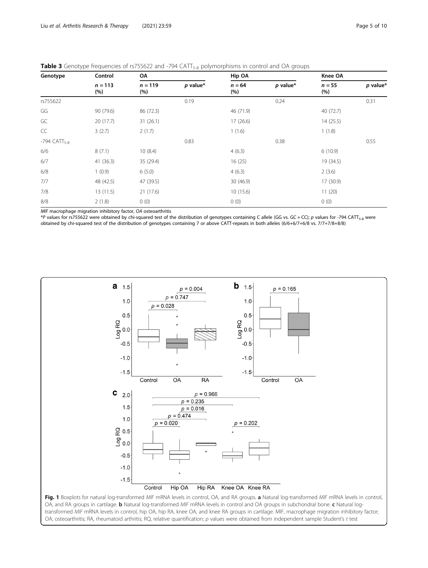<span id="page-4-0"></span>

| Table 3 Genotype frequencies of rs755622 and -794 CATT <sub>5-8</sub> polymorphisms in control and OA groups |  |
|--------------------------------------------------------------------------------------------------------------|--|
|--------------------------------------------------------------------------------------------------------------|--|

| Genotype                   | Control<br>$n = 113$<br>(%) | OA               |            | Hip OA          |            | Knee OA         |            |
|----------------------------|-----------------------------|------------------|------------|-----------------|------------|-----------------|------------|
|                            |                             | $n = 119$<br>(%) | $p$ value* | $n = 64$<br>(%) | $p$ value* | $n = 55$<br>(%) | $p$ value* |
| rs755622                   |                             |                  | 0.19       |                 | 0.24       |                 | 0.31       |
| GG                         | 90 (79.6)                   | 86 (72.3)        |            | 46 (71.9)       |            | 40 (72.7)       |            |
| GC                         | 20(17.7)                    | 31(26.1)         |            | 17(26.6)        |            | 14(25.5)        |            |
| CC                         | 3(2.7)                      | 2(1.7)           |            | 1(1.6)          |            | 1(1.8)          |            |
| $-794$ CATT <sub>5-8</sub> |                             |                  | 0.83       |                 | 0.38       |                 | 0.55       |
| 6/6                        | 8(7.1)                      | 10(8.4)          |            | 4(6.3)          |            | 6(10.9)         |            |
| 6/7                        | 41(36.3)                    | 35 (29.4)        |            | 16(25)          |            | 19 (34.5)       |            |
| 6/8                        | 1(0.9)                      | 6(5.0)           |            | 4(6.3)          |            | 2(3.6)          |            |
| 7/7                        | 48 (42.5)                   | 47 (39.5)        |            | 30 (46.9)       |            | 17 (30.9)       |            |
| 7/8                        | 13(11.5)                    | 21(17.6)         |            | 10(15.6)        |            | 11(20)          |            |
| 8/8                        | 2(1.8)                      | 0(0)             |            | 0(0)            |            | 0(0)            |            |

MIF macrophage migration inhibitory factor, OA osteoarthritis

\*P values for rs755622 were obtained by chi-squared test of the distribution of genotypes containing C allele (GG vs. GC + CC); p values for -794 CATT<sub>5-8</sub> were obtained by chi-squared test of the distribution of genotypes containing 7 or above CATT-repeats in both alleles (6/6+6/7+6/8 vs. 7/7+7/8+8/8)



OA, and RA groups in cartilage. **b** Natural log-transformed MIF mRNA levels in control and OA groups in subchondral bone. c Natural logtransformed MIF mRNA levels in control, hip OA, hip RA, knee OA, and knee RA groups in cartilage. MIF, macrophage migration inhibitory factor; OA, osteoarthritis; RA, rheumatoid arthritis; RQ, relative quantification; p values were obtained from independent sample Student's t test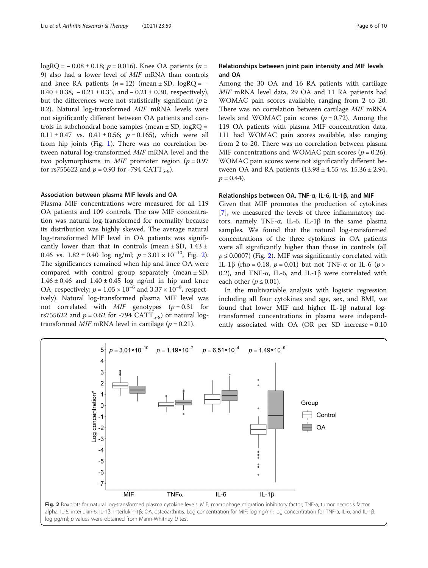logRO =  $-0.08 \pm 0.18$ ; p = 0.016). Knee OA patients (n = 9) also had a lower level of MIF mRNA than controls and knee RA patients  $(n = 12)$  (mean  $\pm$  SD, logRO = −  $0.40 \pm 0.38$ ,  $-0.21 \pm 0.35$ , and  $-0.21 \pm 0.30$ , respectively), but the differences were not statistically significant ( $p \geq$ 0.2). Natural log-transformed MIF mRNA levels were not significantly different between OA patients and controls in subchondral bone samples (mean  $\pm$  SD, logRO =  $0.11 \pm 0.47$  vs.  $0.41 \pm 0.56$ ;  $p = 0.165$ ), which were all from hip joints (Fig. [1\)](#page-4-0). There was no correlation between natural log-transformed MIF mRNA level and the two polymorphisms in *MIF* promoter region ( $p = 0.97$ for rs755622 and  $p = 0.93$  for -794 CATT<sub>5-8</sub>).

## Association between plasma MIF levels and OA

Plasma MIF concentrations were measured for all 119 OA patients and 109 controls. The raw MIF concentration was natural log-transformed for normality because its distribution was highly skewed. The average natural log-transformed MIF level in OA patients was significantly lower than that in controls (mean  $\pm$  SD, 1.43  $\pm$ 0.46 vs.  $1.82 \pm 0.40$  log ng/ml;  $p = 3.01 \times 10^{-10}$ , Fig. 2). The significances remained when hip and knee OA were compared with control group separately (mean  $\pm$  SD,  $1.46 \pm 0.46$  and  $1.40 \pm 0.45$  log ng/ml in hip and knee OA, respectively;  $p = 1.05 \times 10^{-6}$  and  $3.37 \times 10^{-8}$ , respectively). Natural log-transformed plasma MIF level was not correlated with  $MIF$  genotypes ( $p = 0.31$  for rs755622 and  $p = 0.62$  for -794 CATT<sub>5-8</sub>) or natural logtransformed  $MIF$  mRNA level in cartilage ( $p = 0.21$ ).

## Relationships between joint pain intensity and MIF levels and OA

Among the 30 OA and 16 RA patients with cartilage MIF mRNA level data, 29 OA and 11 RA patients had WOMAC pain scores available, ranging from 2 to 20. There was no correlation between cartilage MIF mRNA levels and WOMAC pain scores ( $p = 0.72$ ). Among the 119 OA patients with plasma MIF concentration data, 111 had WOMAC pain scores available, also ranging from 2 to 20. There was no correlation between plasma MIF concentrations and WOMAC pain scores ( $p = 0.26$ ). WOMAC pain scores were not significantly different between OA and RA patients  $(13.98 \pm 4.55 \text{ vs. } 15.36 \pm 2.94,$  $p = 0.44$ .

## Relationships between OA, TNF-α, IL-6, IL-1β, and MIF

Given that MIF promotes the production of cytokines [[7\]](#page-8-0), we measured the levels of three inflammatory factors, namely TNF-α, IL-6, IL-1β in the same plasma samples. We found that the natural log-transformed concentrations of the three cytokines in OA patients were all significantly higher than those in controls (all  $p \le 0.0007$ ) (Fig. 2). MIF was significantly correlated with IL-1β (rho = 0.18,  $p = 0.01$ ) but not TNF-α or IL-6 ( $p >$ 0.2), and TNF-α, IL-6, and IL-1β were correlated with each other ( $p \le 0.01$ ).

In the multivariable analysis with logistic regression including all four cytokines and age, sex, and BMI, we found that lower MIF and higher IL-1β natural logtransformed concentrations in plasma were independently associated with OA (OR per SD increase = 0.10

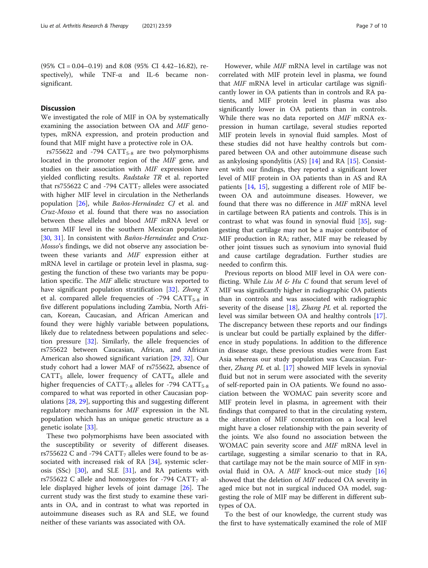(95% CI = 0.04–0.19) and 8.08 (95% CI 4.42–16.82), respectively), while TNF-α and IL-6 became nonsignificant.

## **Discussion**

We investigated the role of MIF in OA by systematically examining the association between OA and MIF genotypes, mRNA expression, and protein production and found that MIF might have a protective role in OA.

rs755622 and -794  $CATT_{5-8}$  are two polymorphisms located in the promoter region of the MIF gene, and studies on their association with MIF expression have yielded conflicting results. Radstake TR et al. reported that rs755622 C and -794  $CATT<sub>7</sub>$  alleles were associated with higher MIF level in circulation in the Netherlands population [\[26\]](#page-8-0), while Baños-Hernández CJ et al. and Cruz-Mosso et al. found that there was no association between these alleles and blood MIF mRNA level or serum MIF level in the southern Mexican population [[30,](#page-8-0) [31](#page-8-0)]. In consistent with Baños-Hernández and Cruz-Mosso's findings, we did not observe any association between these variants and MIF expression either at mRNA level in cartilage or protein level in plasma, suggesting the function of these two variants may be population specific. The MIF allelic structure was reported to have significant population stratification [\[32](#page-9-0)]. Zhong X et al. compared allele frequencies of  $-794$  CATT<sub>5-8</sub> in five different populations including Zambia, North African, Korean, Caucasian, and African American and found they were highly variable between populations, likely due to relatedness between populations and selection pressure  $[32]$  $[32]$ . Similarly, the allele frequencies of rs755622 between Caucasian, African, and African American also showed significant variation [\[29](#page-8-0), [32](#page-9-0)]. Our study cohort had a lower MAF of rs755622, absence of  $CATT<sub>5</sub>$  allele, lower frequency of  $CATT<sub>6</sub>$  allele and higher frequencies of  $CATT_{7-8}$  alleles for -794  $CATT_{5-8}$ compared to what was reported in other Caucasian populations [\[28,](#page-8-0) [29\]](#page-8-0), supporting this and suggesting different regulatory mechanisms for MIF expression in the NL population which has an unique genetic structure as a genetic isolate [[33\]](#page-9-0).

These two polymorphisms have been associated with the susceptibility or severity of different diseases. rs755622 C and -794  $CATT$ <sub>7</sub> alleles were found to be associated with increased risk of RA [[34\]](#page-9-0), systemic sclerosis (SSc)  $[30]$  $[30]$ , and SLE  $[31]$  $[31]$ , and RA patients with rs755622 C allele and homozygotes for -794 CATT<sub>7</sub> allele displayed higher levels of joint damage [[26\]](#page-8-0). The current study was the first study to examine these variants in OA, and in contrast to what was reported in autoimmune diseases such as RA and SLE, we found neither of these variants was associated with OA.

However, while MIF mRNA level in cartilage was not correlated with MIF protein level in plasma, we found that MIF mRNA level in articular cartilage was significantly lower in OA patients than in controls and RA patients, and MIF protein level in plasma was also significantly lower in OA patients than in controls. While there was no data reported on MIF mRNA expression in human cartilage, several studies reported MIF protein levels in synovial fluid samples. Most of these studies did not have healthy controls but compared between OA and other autoimmune disease such as ankylosing spondylitis (AS) [\[14](#page-8-0)] and RA [\[15](#page-8-0)]. Consistent with our findings, they reported a significant lower level of MIF protein in OA patients than in AS and RA patients [[14,](#page-8-0) [15\]](#page-8-0), suggesting a different role of MIF between OA and autoimmune diseases. However, we found that there was no difference in MIF mRNA level in cartilage between RA patients and controls. This is in contrast to what was found in synovial fluid [[35\]](#page-9-0), suggesting that cartilage may not be a major contributor of MIF production in RA; rather, MIF may be released by other joint tissues such as synovium into synovial fluid and cause cartilage degradation. Further studies are needed to confirm this.

Previous reports on blood MIF level in OA were conflicting. While  $Liu M \& Hu C$  found that serum level of MIF was significantly higher in radiographic OA patients than in controls and was associated with radiographic severity of the disease  $[18]$  $[18]$ , Zhang PL et al. reported the level was similar between OA and healthy controls [\[17](#page-8-0)]. The discrepancy between these reports and our findings is unclear but could be partially explained by the difference in study populations. In addition to the difference in disease stage, these previous studies were from East Asia whereas our study population was Caucasian. Further, Zhang PL et al. [\[17](#page-8-0)] showed MIF levels in synovial fluid but not in serum were associated with the severity of self-reported pain in OA patients. We found no association between the WOMAC pain severity score and MIF protein level in plasma, in agreement with their findings that compared to that in the circulating system, the alteration of MIF concentration on a local level might have a closer relationship with the pain severity of the joints. We also found no association between the WOMAC pain severity score and MIF mRNA level in cartilage, suggesting a similar scenario to that in RA, that cartilage may not be the main source of MIF in synovial fluid in OA. A  $MIF$  knock-out mice study [[16](#page-8-0)] showed that the deletion of MIF reduced OA severity in aged mice but not in surgical induced OA model, suggesting the role of MIF may be different in different subtypes of OA.

To the best of our knowledge, the current study was the first to have systematically examined the role of MIF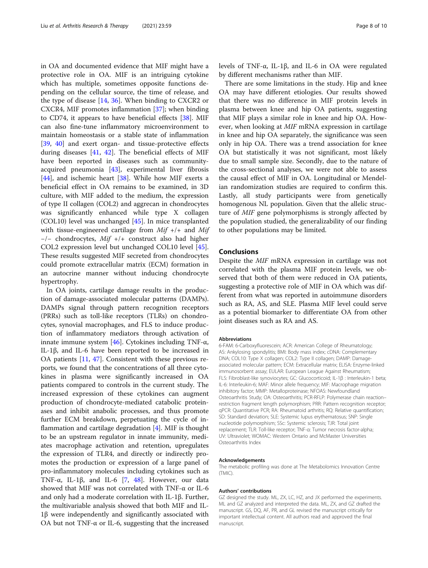in OA and documented evidence that MIF might have a protective role in OA. MIF is an intriguing cytokine which has multiple, sometimes opposite functions depending on the cellular source, the time of release, and the type of disease [[14](#page-8-0), [36\]](#page-9-0). When binding to CXCR2 or CXCR4, MIF promotes inflammation [\[37](#page-9-0)]; when binding to CD74, it appears to have beneficial effects [[38\]](#page-9-0). MIF can also fine-tune inflammatory microenvironment to maintain homeostasis or a stable state of inflammation [[39,](#page-9-0) [40\]](#page-9-0) and exert organ- and tissue-protective effects during diseases [[41](#page-9-0), [42](#page-9-0)]. The beneficial effects of MIF have been reported in diseases such as communityacquired pneumonia [[43](#page-9-0)], experimental liver fibrosis [[44\]](#page-9-0), and ischemic heart [\[38](#page-9-0)]. While how MIF exerts a beneficial effect in OA remains to be examined, in 3D culture, with MIF added to the medium, the expression of type II collagen (COL2) and aggrecan in chondrocytes was significantly enhanced while type X collagen (COL10) level was unchanged [[45\]](#page-9-0). In mice transplanted with tissue-engineered cartilage from  $Mif +/+$  and  $Mif$ −/− chondrocytes, Mif +/+ construct also had higher COL2 expression level but unchanged COL10 level [\[45](#page-9-0)]. These results suggested MIF secreted from chondrocytes could promote extracellular matrix (ECM) formation in an autocrine manner without inducing chondrocyte hypertrophy.

In OA joints, cartilage damage results in the production of damage-associated molecular patterns (DAMPs). DAMPs signal through pattern recognition receptors (PRRs) such as toll-like receptors (TLRs) on chondrocytes, synovial macrophages, and FLS to induce production of inflammatory mediators through activation of innate immune system [[46\]](#page-9-0). Cytokines including TNF- $\alpha$ , IL-1β, and IL-6 have been reported to be increased in OA patients [[11](#page-8-0), [47\]](#page-9-0). Consistent with these previous reports, we found that the concentrations of all three cytokines in plasma were significantly increased in OA patients compared to controls in the current study. The increased expression of these cytokines can augment production of chondrocyte-mediated catabolic proteinases and inhibit anabolic processes, and thus promote further ECM breakdown, perpetuating the cycle of inflammation and cartilage degradation [[4\]](#page-8-0). MIF is thought to be an upstream regulator in innate immunity, mediates macrophage activation and retention, upregulates the expression of TLR4, and directly or indirectly promotes the production or expression of a large panel of pro-inflammatory molecules including cytokines such as TNF- $\alpha$ , IL-1 $\beta$ , and IL-6 [[7,](#page-8-0) [48\]](#page-9-0). However, our data showed that MIF was not correlated with TNF-α or IL-6 and only had a moderate correlation with IL-1β. Further, the multivariable analysis showed that both MIF and IL-1β were independently and significantly associated with OA but not TNF-α or IL-6, suggesting that the increased levels of TNF-α, IL-1β, and IL-6 in OA were regulated by different mechanisms rather than MIF.

There are some limitations in the study. Hip and knee OA may have different etiologies. Our results showed that there was no difference in MIF protein levels in plasma between knee and hip OA patients, suggesting that MIF plays a similar role in knee and hip OA. However, when looking at MIF mRNA expression in cartilage in knee and hip OA separately, the significance was seen only in hip OA. There was a trend association for knee OA but statistically it was not significant, most likely due to small sample size. Secondly, due to the nature of the cross-sectional analyses, we were not able to assess the causal effect of MIF in OA. Longitudinal or Mendelian randomization studies are required to confirm this. Lastly, all study participants were from genetically homogenous NL population. Given that the allelic structure of MIF gene polymorphisms is strongly affected by the population studied, the generalizability of our finding to other populations may be limited.

## Conclusions

Despite the MIF mRNA expression in cartilage was not correlated with the plasma MIF protein levels, we observed that both of them were reduced in OA patients, suggesting a protective role of MIF in OA which was different from what was reported in autoimmune disorders such as RA, AS, and SLE. Plasma MIF level could serve as a potential biomarker to differentiate OA from other joint diseases such as RA and AS.

#### Abbreviations

6-FAM: 6-Carboxyfluorescein; ACR: American College of Rheumatology; AS: Ankylosing spondylitis; BMI: Body mass index; cDNA: Complementary DNA; COL10: Type X collagen; COL2: Type II collagen; DAMP: Damageassociated molecular pattern; ECM: Extracellular matrix; ELISA: Enzyme-linked immunosorbent assay; EULAR: European League Against Rheumatism; FLS: Fibroblast-like synoviocytes; GC: Glucocorticoid; IL-1β : Interleukin-1 beta; IL-6: Interleukin-6; MAF: Minor allele frequency; MIF: Macrophage migration inhibitory factor; MMP: Metalloproteinase; NFOAS: Newfoundland Osteoarthritis Study; OA: Osteoarthritis; PCR-RFLP: Polymerase chain reaction– restriction fragment length polymorphism; PRR: Pattern recognition receptor; qPCR: Quantitative PCR; RA: Rheumatoid arthritis; RQ: Relative quantification; SD: Standard deviation; SLE: Systemic lupus erythematosus; SNP: Single nucleotide polymorphism; SSc: Systemic sclerosis; TJR: Total joint replacement; TLR: Toll-like receptor; TNF-α: Tumor necrosis factor-alpha; UV: Ultraviolet; WOMAC: Western Ontario and McMaster Universities Osteoarthritis Index

#### Acknowledgements

The metabolic profiling was done at The Metabolomics Innovation Centre (TMIC).

#### Authors' contributions

GZ designed the study. ML, ZX, LC, HZ, and JX performed the experiments. ML and GZ analyzed and interpreted the data. ML, ZX, and GZ drafted the manuscript. GS, DQ, AF, PR, and GL revised the manuscript critically for important intellectual content. All authors read and approved the final manuscript.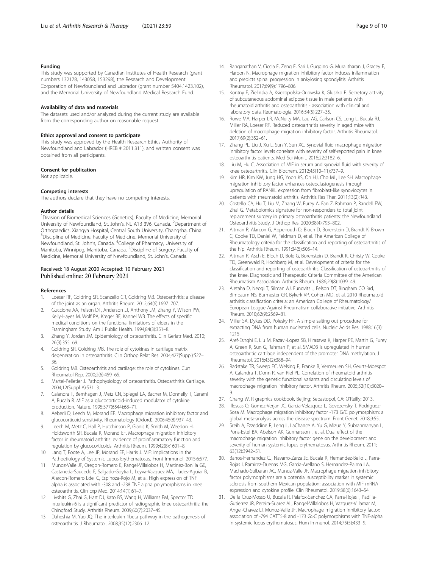#### <span id="page-8-0"></span>Funding

This study was supported by Canadian Institutes of Health Research (grant numbers 132178, 143058, 153298), the Research and Development Corporation of Newfoundland and Labrador (grant number 5404.1423.102), and the Memorial University of Newfoundland Medical Research Fund.

#### Availability of data and materials

The datasets used and/or analyzed during the current study are available from the corresponding author on reasonable request.

#### Ethics approval and consent to participate

This study was approved by the Health Research Ethics Authority of Newfoundland and Labrador (HREB # 2011.311), and written consent was obtained from all participants.

#### Consent for publication

Not applicable.

#### Competing interests

The authors declare that they have no competing interests.

#### Author details

<sup>1</sup> Division of Biomedical Sciences (Genetics), Faculty of Medicine, Memorial University of Newfoundland, St. John's, NL A1B 3V6, Canada. <sup>2</sup>Department of Orthopaedics, Xiangya Hospital, Central South University, Changsha, China. <sup>3</sup>Discipline of Medicine, Faculty of Medicine, Memorial University of Newfoundland, St. John's, Canada. <sup>4</sup>College of Pharmacy, University of Manitoba, Winnipeg, Manitoba, Canada. <sup>5</sup>Discipline of Surgery, Faculty of Medicine, Memorial University of Newfoundland, St. John's, Canada.

#### Received: 18 August 2020 Accepted: 10 February 2021 Published online: 20 February 2021

#### References

- 1. Loeser RF, Goldring SR, Scanzello CR, Goldring MB. Osteoarthritis: a disease of the joint as an organ. Arthritis Rheum. 2012;64(6):1697–707.
- 2. Guccione AA, Felson DT, Anderson JJ, Anthony JM, Zhang Y, Wilson PW, Kelly-Hayes M, Wolf PA, Kreger BE, Kannel WB. The effects of specific medical conditions on the functional limitations of elders in the Framingham Study. Am J Public Health. 1994;84(3):351–8.
- 3. Zhang Y, Jordan JM. Epidemiology of osteoarthritis. Clin Geriatr Med. 2010; 26(3):355–69.
- 4. Goldring SR, Goldring MB. The role of cytokines in cartilage matrix degeneration in osteoarthritis. Clin Orthop Relat Res. 2004;427(Suppl):S27– 36.
- 5. Goldring MB. Osteoarthritis and cartilage: the role of cytokines. Curr Rheumatol Rep. 2000;2(6):459–65.
- 6. Martel-Pelletier J. Pathophysiology of osteoarthritis. Osteoarthritis Cartilage. 2004;12(Suppl A):S31–3.
- 7. Calandra T, Bernhagen J, Metz CN, Spiegel LA, Bacher M, Donnelly T, Cerami A, Bucala R. MIF as a glucocorticoid-induced modulator of cytokine production. Nature. 1995;377(6544):68–71.
- 8. Aeberli D, Leech M, Morand EF. Macrophage migration inhibitory factor and glucocorticoid sensitivity. Rheumatology (Oxford). 2006;45(8):937–43.
- 9. Leech M, Metz C, Hall P, Hutchinson P, Gianis K, Smith M, Weedon H, Holdsworth SR, Bucala R, Morand EF. Macrophage migration inhibitory factor in rheumatoid arthritis: evidence of proinflammatory function and regulation by glucocorticoids. Arthritis Rheum. 1999;42(8):1601–8.
- 10. Lang T, Foote A, Lee JP, Morand EF, Harris J. MIF: implications in the Pathoetiology of Systemic Lupus Erythematosus. Front Immunol. 2015;6:577.
- 11. Munoz-Valle JF, Oregon-Romero E, Rangel-Villalobos H, Martinez-Bonilla GE, Castaneda-Saucedo E, Salgado-Goytia L, Leyva-Vazquez MA, Illades-Aguiar B, Alarcon-Romero Ldel C, Espinoza-Rojo M, et al. High expression of TNF alpha is associated with -308 and -238 TNF alpha polymorphisms in knee osteoarthritis. Clin Exp Med. 2014;14(1):61–7.
- 12. Livshits G, Zhai G, Hart DJ, Kato BS, Wang H, Williams FM, Spector TD. Interleukin-6 is a significant predictor of radiographic knee osteoarthritis: the Chingford Study. Arthritis Rheum. 2009;60(7):2037–45.
- 13. Daheshia M, Yao JQ. The interleukin 1beta pathway in the pathogenesis of osteoarthritis. J Rheumatol. 2008;35(12):2306–12.
- 14. Ranganathan V, Ciccia F, Zeng F, Sari I, Guggino G, Muralitharan J, Gracey E, Haroon N. Macrophage migration inhibitory factor induces inflammation and predicts spinal progression in ankylosing spondylitis. Arthritis Rheumatol. 2017;69(9):1796–806.
- 15. Kontny E, Zielinska A, Ksiezopolska-Orlowska K, Gluszko P. Secretory activity of subcutaneous abdominal adipose tissue in male patients with rheumatoid arthritis and osteoarthritis - association with clinical and laboratory data. Reumatologia. 2016;54(5):227–35.
- 16. Rowe MA, Harper LR, McNulty MA, Lau AG, Carlson CS, Leng L, Bucala RJ, Miller RA, Loeser RF. Reduced osteoarthritis severity in aged mice with deletion of macrophage migration inhibitory factor. Arthritis Rheumatol. 2017;69(2):352–61.
- 17. Zhang PL, Liu J, Xu L, Sun Y, Sun XC. Synovial fluid macrophage migration inhibitory factor levels correlate with severity of self-reported pain in knee osteoarthritis patients. Med Sci Monit. 2016;22:2182–6.
- 18. Liu M, Hu C. Association of MIF in serum and synovial fluid with severity of knee osteoarthritis. Clin Biochem. 2012;45(10–11):737–9.
- 19. Kim HR, Kim KW, Jung HG, Yoon KS, Oh HJ, Cho ML, Lee SH. Macrophage migration inhibitory factor enhances osteoclastogenesis through upregulation of RANKL expression from fibroblast-like synoviocytes in patients with rheumatoid arthritis. Arthritis Res Ther. 2011;13(2):R43.
- 20. Costello CA, Hu T, Liu M, Zhang W, Furey A, Fan Z, Rahman P, Randell EW, Zhai G. Metabolomics signature for non-responders to total joint replacement surgery in primary osteoarthritis patients: the Newfoundland Osteoarthritis Study. J Orthop Res. 2020;38(4):793–802.
- 21. Altman R, Alarcon G, Appelrouth D, Bloch D, Borenstein D, Brandt K, Brown C, Cooke TD, Daniel W, Feldman D, et al. The American College of Rheumatology criteria for the classification and reporting of osteoarthritis of the hip. Arthritis Rheum. 1991;34(5):505–14.
- 22. Altman R, Asch E, Bloch D, Bole G, Borenstein D, Brandt K, Christy W, Cooke TD, Greenwald R, Hochberg M, et al. Development of criteria for the classification and reporting of osteoarthritis. Classification of osteoarthritis of the knee. Diagnostic and Therapeutic Criteria Committee of the American Rheumatism Association. Arthritis Rheum. 1986;29(8):1039–49.
- 23. Aletaha D, Neogi T, Silman AJ, Funovits J, Felson DT, Bingham CO 3rd, Birnbaum NS, Burmester GR, Bykerk VP, Cohen MD, et al. 2010 Rheumatoid arthritis classification criteria: an American College of Rheumatology/ European League Against Rheumatism collaborative initiative. Arthritis Rheum. 2010;62(9):2569–81.
- 24. Miller SA, Dykes DD, Polesky HF. A simple salting out procedure for extracting DNA from human nucleated cells. Nucleic Acids Res. 1988;16(3): 1215.
- 25. Aref-Eshghi E, Liu M, Razavi-Lopez SB, Hirasawa K, Harper PE, Martin G, Furey A, Green R, Sun G, Rahman P, et al. SMAD3 is upregulated in human osteoarthritic cartilage independent of the promoter DNA methylation. J Rheumatol. 2016;43(2):388–94.
- 26. Radstake TR, Sweep FC, Welsing P, Franke B, Vermeulen SH, Geurts-Moespot A, Calandra T, Donn R, van Riel PL. Correlation of rheumatoid arthritis severity with the genetic functional variants and circulating levels of macrophage migration inhibitory factor. Arthritis Rheum. 2005;52(10):3020– 9.
- 27. Chang W. R graphics cookbook. Beijing; Sebastopol, CA: O'Reilly; 2013.
- 28. Illescas O, Gomez-Verjan JC, Garcia-Velazquez L, Govezensky T, Rodriguez-Sosa M. Macrophage migration inhibitory factor -173 G/C polymorphism: a global meta-analysis across the disease spectrum. Front Genet. 2018;9:55.
- 29. Sreih A, Ezzeddine R, Leng L, LaChance A, Yu G, Mizue Y, Subrahmanyan L, Pons-Estel BA, Abelson AK, Gunnarsson I, et al. Dual effect of the macrophage migration inhibitory factor gene on the development and severity of human systemic lupus erythematosus. Arthritis Rheum. 2011; 63(12):3942–51.
- 30. Banos-Hernandez CJ, Navarro-Zarza JE, Bucala R, Hernandez-Bello J, Parra-Rojas I, Ramirez-Duenas MG, Garcia-Arellano S, Hernandez-Palma LA, Machado-Sulbaran AC, Munoz-Valle JF. Macrophage migration inhibitory factor polymorphisms are a potential susceptibility marker in systemic sclerosis from southern Mexican population: association with MIF mRNA expression and cytokine profile. Clin Rheumatol. 2019;38(6):1643–54.
- 31. De la Cruz-Mosso U, Bucala R, Palafox-Sanchez CA, Parra-Rojas I, Padilla-Gutierrez JR, Pereira-Suarez AL, Rangel-Villalobos H, Vazquez-Villamar M, Angel-Chavez LI, Munoz-Valle JF. Macrophage migration inhibitory factor: association of -794 CATT5-8 and -173 G>C polymorphisms with TNF-alpha in systemic lupus erythematosus. Hum Immunol. 2014;75(5):433–9.